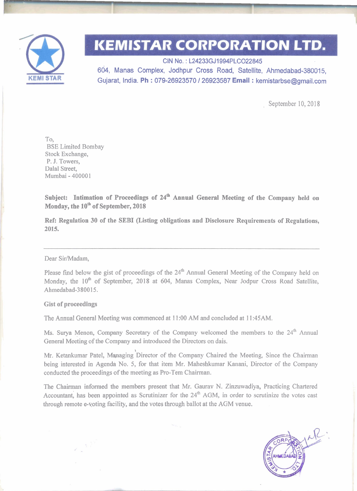

# **KEMISTAR CORPORATION LTD.**

**CIN** No. : L24233GJ1994PLC022845 604, Manas Complex, Jodhpur Cross Road, Satellite, Ahmedabad-380015, Gujarat, India. **Ph** : **079-26923570 1 26923587 Email** : kemistarbse@gmail.com

September 10, 2018

To, BSE Limited Bombay Stock Exchange, P. J. Towers, Dalal Street, Mumbai - 40000 **<sup>1</sup>**

**Subject: Intimation of Proceedings of 24'h Annual General Meeting of the Company held on**  Monday, the 10<sup>th</sup> of September, 2018

**Ref: Regulation 30 of the SEBI (Listing obligations and Disclosure Requirements of Regulations, 2015.** 

#### Dear Sir/Madam,

Please find below the gist of proceedings of the 24<sup>th</sup> Annual General Meeting of the Company held on Monday, the 10<sup>th</sup> of September, 2018 at 604, Manas Complex, Near Jodpur Cross Road Satellite, Ahmedabad-3800 15.

### **Gist of proceedings**

The Annual General Meeting was commenced at 1 **1** :00 AM and concluded at **1** 1 :45AM.

Ms. Surya Menon, Company Secretary of the Company welcomed the members to the 24<sup>th</sup> Annual General Meeting of the Company and introduced the Directors on dais.

Mr. Ketankumar Patel, Managing Director of the Company Chaired the Meeting, Since the Chairman being interested in Agenda No. 5, for that item Mr. Maheshkumar Kanani, Director of the Company conducted the proceedings of the meeting as Pro-Tem Chairman.

The Chairman informed the members present that Mr. Gaurav N. Zinzuwadiya, Practicing Chartered Accountant, has been appointed as Scrutinizer for the 24<sup>th</sup> AGM, in order to scrutinize the votes cast through remote e-voting facility, and the votes through ballot at the AGM venue.